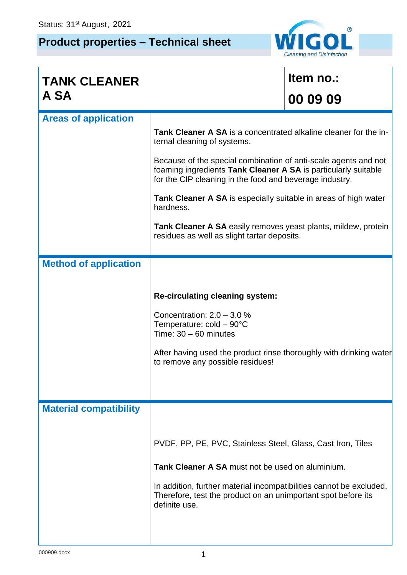## **Product properties – Technical sheet**



| <b>TANK CLEANER</b>           |                                                                                                                                                                                              | Item no.: |  |  |  |  |
|-------------------------------|----------------------------------------------------------------------------------------------------------------------------------------------------------------------------------------------|-----------|--|--|--|--|
| A SA                          |                                                                                                                                                                                              | 00 09 09  |  |  |  |  |
| <b>Areas of application</b>   |                                                                                                                                                                                              |           |  |  |  |  |
|                               | <b>Tank Cleaner A SA</b> is a concentrated alkaline cleaner for the in-<br>ternal cleaning of systems.                                                                                       |           |  |  |  |  |
|                               | Because of the special combination of anti-scale agents and not<br>foaming ingredients Tank Cleaner A SA is particularly suitable<br>for the CIP cleaning in the food and beverage industry. |           |  |  |  |  |
|                               | <b>Tank Cleaner A SA</b> is especially suitable in areas of high water<br>hardness.                                                                                                          |           |  |  |  |  |
|                               | Tank Cleaner A SA easily removes yeast plants, mildew, protein<br>residues as well as slight tartar deposits.                                                                                |           |  |  |  |  |
| <b>Method of application</b>  |                                                                                                                                                                                              |           |  |  |  |  |
|                               |                                                                                                                                                                                              |           |  |  |  |  |
|                               | <b>Re-circulating cleaning system:</b>                                                                                                                                                       |           |  |  |  |  |
|                               | Concentration: $2.0 - 3.0 %$                                                                                                                                                                 |           |  |  |  |  |
|                               | Temperature: $cold - 90^{\circ}C$<br>Time: $30 - 60$ minutes                                                                                                                                 |           |  |  |  |  |
|                               | After having used the product rinse thoroughly with drinking water<br>to remove any possible residues!                                                                                       |           |  |  |  |  |
|                               |                                                                                                                                                                                              |           |  |  |  |  |
|                               |                                                                                                                                                                                              |           |  |  |  |  |
| <b>Material compatibility</b> |                                                                                                                                                                                              |           |  |  |  |  |
|                               |                                                                                                                                                                                              |           |  |  |  |  |
|                               | PVDF, PP, PE, PVC, Stainless Steel, Glass, Cast Iron, Tiles                                                                                                                                  |           |  |  |  |  |
|                               | <b>Tank Cleaner A SA must not be used on aluminium.</b>                                                                                                                                      |           |  |  |  |  |
|                               | In addition, further material incompatibilities cannot be excluded.<br>Therefore, test the product on an unimportant spot before its<br>definite use.                                        |           |  |  |  |  |
|                               |                                                                                                                                                                                              |           |  |  |  |  |